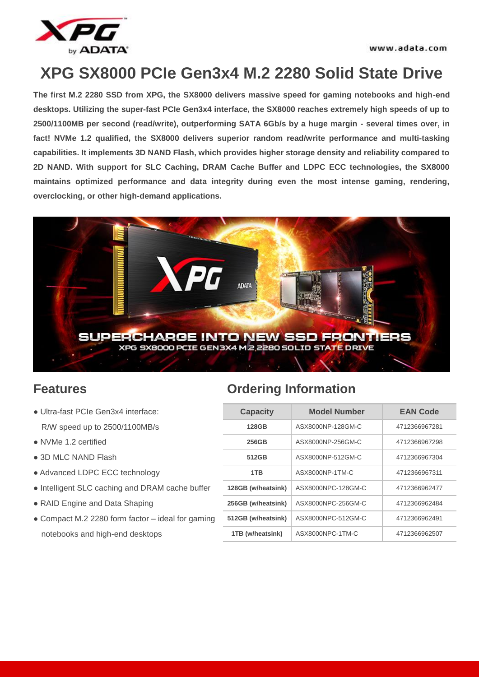

# **XPG SX8000 PCIe Gen3x4 M.2 2280 Solid State Drive**

**The first M.2 2280 SSD from XPG, the SX8000 delivers massive speed for gaming notebooks and high-end desktops. Utilizing the super-fast PCIe Gen3x4 interface, the SX8000 reaches extremely high speeds of up to 2500/1100MB per second (read/write), outperforming SATA 6Gb/s by a huge margin - several times over, in fact! NVMe 1.2 qualified, the SX8000 delivers superior random read/write performance and multi-tasking capabilities. It implements 3D NAND Flash, which provides higher storage density and reliability compared to 2D NAND. With support for SLC Caching, DRAM Cache Buffer and LDPC ECC technologies, the SX8000 maintains optimized performance and data integrity during even the most intense gaming, rendering, overclocking, or other high-demand applications.**



- $\bullet$  Ultra-fast PCIe Gen3x4 interface: R/W speed up to 2500/1100MB/s
- NVMe 1.2 certified
- $\bullet$  3D MLC NAND Flash
- $\bullet$  Advanced LDPC ECC technology
- $\bullet$  Intelligent SLC caching and DRAM cache buffer
- RAID Engine and Data Shaping
- Compact M.2 2280 form factor ideal for gaming notebooks and high-end desktops

### **Features Ordering Information**

| <b>Capacity</b>    | <b>Model Number</b> | <b>EAN Code</b> |  |  |
|--------------------|---------------------|-----------------|--|--|
| 128GB              | ASX8000NP-128GM-C   | 4712366967281   |  |  |
| 256GB              | ASX8000NP-256GM-C   | 4712366967298   |  |  |
| 512GB              | ASX8000NP-512GM-C   | 4712366967304   |  |  |
| 1TB                | ASX8000NP-1TM-C     | 4712366967311   |  |  |
| 128GB (w/heatsink) | ASX8000NPC-128GM-C  | 4712366962477   |  |  |
| 256GB (w/heatsink) | ASX8000NPC-256GM-C  | 4712366962484   |  |  |
| 512GB (w/heatsink) | ASX8000NPC-512GM-C  | 4712366962491   |  |  |
| 1TB (w/heatsink)   | ASX8000NPC-1TM-C    | 4712366962507   |  |  |